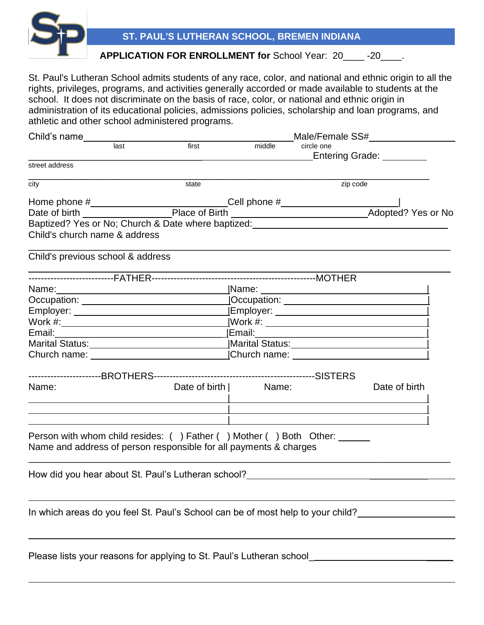

St. Paul's Lutheran School admits students of any race, color, and national and ethnic origin to all the rights, privileges, programs, and activities generally accorded or made available to students at the school. It does not discriminate on the basis of race, color, or national and ethnic origin in administration of its educational policies, admissions policies, scholarship and loan programs, and athletic and other school administered programs.

| Child's name                                                                                                   |      |       |                       | Male/Female SS#                                                                                                                                                                                                                          |                          |  |
|----------------------------------------------------------------------------------------------------------------|------|-------|-----------------------|------------------------------------------------------------------------------------------------------------------------------------------------------------------------------------------------------------------------------------------|--------------------------|--|
|                                                                                                                | last | first | middle                | circle one                                                                                                                                                                                                                               | Entering Grade: ________ |  |
| street address                                                                                                 |      |       |                       |                                                                                                                                                                                                                                          |                          |  |
| city                                                                                                           |      | state | zip code              |                                                                                                                                                                                                                                          |                          |  |
|                                                                                                                |      |       |                       |                                                                                                                                                                                                                                          |                          |  |
|                                                                                                                |      |       |                       |                                                                                                                                                                                                                                          |                          |  |
| Child's church name & address                                                                                  |      |       |                       |                                                                                                                                                                                                                                          |                          |  |
| Child's previous school & address                                                                              |      |       |                       |                                                                                                                                                                                                                                          |                          |  |
|                                                                                                                |      |       |                       |                                                                                                                                                                                                                                          |                          |  |
|                                                                                                                |      |       |                       | <u>_</u> Name: ___________________________________                                                                                                                                                                                       |                          |  |
|                                                                                                                |      |       |                       |                                                                                                                                                                                                                                          |                          |  |
|                                                                                                                |      |       |                       |                                                                                                                                                                                                                                          |                          |  |
|                                                                                                                |      |       |                       |                                                                                                                                                                                                                                          |                          |  |
| Email: 2008. 2009. 2010. 2010. 2010. 2010. 2010. 2010. 2010. 2010. 2011. 2012. 2014. 2016. 2017. 2017. 2017. 2 |      |       |                       |                                                                                                                                                                                                                                          |                          |  |
|                                                                                                                |      |       |                       | Marital Status: Marital Status: Marital Status: Marital Status: Marital Status: Marital Status: Marital Status                                                                                                                           |                          |  |
|                                                                                                                |      |       |                       | Church name: <u>church name:</u> church name: <u>church name:</u> church name: church name: church name: church name: church name: church name: church name: church name: church name: church name: church name: church name: church nam |                          |  |
|                                                                                                                |      |       |                       |                                                                                                                                                                                                                                          |                          |  |
| Name:                                                                                                          |      |       | Date of birth   Name: |                                                                                                                                                                                                                                          | Date of birth            |  |
|                                                                                                                |      |       |                       |                                                                                                                                                                                                                                          |                          |  |
| Name and address of person responsible for all payments & charges                                              |      |       |                       | Person with whom child resides: () Father () Mother () Both Other: ______                                                                                                                                                                |                          |  |
| How did you hear about St. Paul's Lutheran school?____                                                         |      |       |                       |                                                                                                                                                                                                                                          |                          |  |
|                                                                                                                |      |       |                       | In which areas do you feel St. Paul's School can be of most help to your child?                                                                                                                                                          |                          |  |
|                                                                                                                |      |       |                       |                                                                                                                                                                                                                                          |                          |  |

Please lists your reasons for applying to St. Paul's Lutheran school\_ \_\_\_\_\_